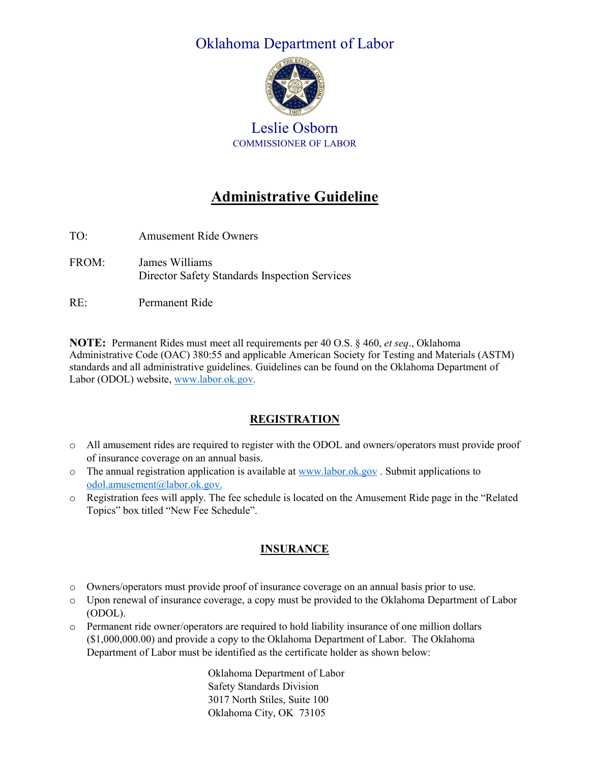# Oklahoma Department of Labor



Leslie Osborn COMMISSIONER OF LABOR

# **Administrative Guideline**

- TO: Amusement Ride Owners FROM: James Williams Director Safety Standards Inspection Services
- RE: Permanent Ride

**NOTE:** Permanent Rides must meet all requirements per 40 O.S. § 460, *et seq*., Oklahoma Administrative Code (OAC) 380:55 and applicable American Society for Testing and Materials (ASTM) standards and all administrative guidelines. Guidelines can be found on the Oklahoma Department of Labor (ODOL) website[, www.labor.ok.gov.](http://www.labor.ok.gov/)

#### **REGISTRATION**

- o All amusement rides are required to register with the ODOL and owners/operators must provide proof of insurance coverage on an annual basis.
- $\circ$  The annual registration application is available a[t www.labor.ok.gov](http://www.labor.ok.gov/). Submit applications to [odol.amusement@labor.ok.gov.](mailto:odol.amusement@labor.ok.gov)
- o Registration fees will apply. The fee schedule is located on the Amusement Ride page in the "Related Topics" box titled "New Fee Schedule".

## **INSURANCE**

- o Owners/operators must provide proof of insurance coverage on an annual basis prior to use.
- o Upon renewal of insurance coverage, a copy must be provided to the Oklahoma Department of Labor (ODOL).
- o Permanent ride owner/operators are required to hold liability insurance of one million dollars (\$1,000,000.00) and provide a copy to the Oklahoma Department of Labor. The Oklahoma Department of Labor must be identified as the certificate holder as shown below:

Oklahoma Department of Labor Safety Standards Division 3017 North Stiles, Suite 100 Oklahoma City, OK 73105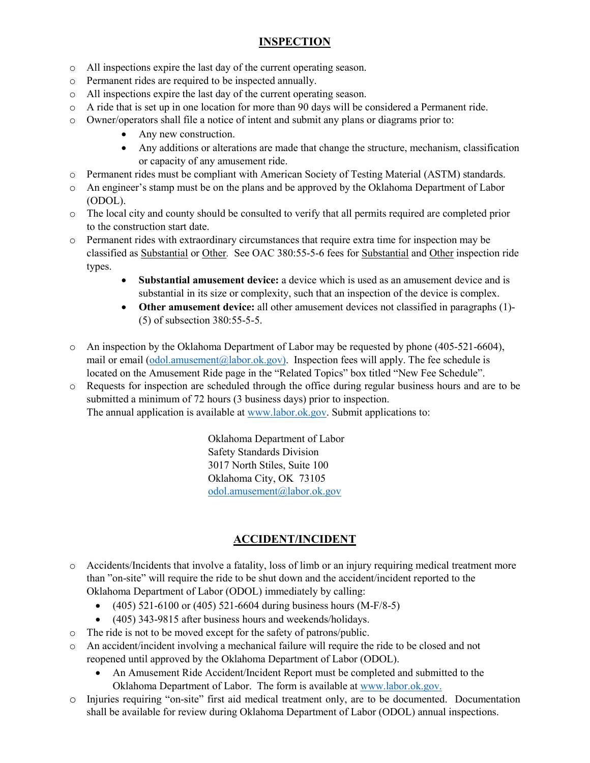## **INSPECTION**

- o All inspections expire the last day of the current operating season.
- o Permanent rides are required to be inspected annually.
- o All inspections expire the last day of the current operating season.
- o A ride that is set up in one location for more than 90 days will be considered a Permanent ride.
- o Owner/operators shall file a notice of intent and submit any plans or diagrams prior to:
	- Any new construction.
	- Any additions or alterations are made that change the structure, mechanism, classification or capacity of any amusement ride.
- o Permanent rides must be compliant with American Society of Testing Material (ASTM) standards.
- o An engineer's stamp must be on the plans and be approved by the Oklahoma Department of Labor (ODOL).
- o The local city and county should be consulted to verify that all permits required are completed prior to the construction start date.
- o Permanent rides with extraordinary circumstances that require extra time for inspection may be classified as Substantial or Other*.* See OAC 380:55-5-6 fees for Substantial and Other inspection ride types.
	- **Substantial amusement device:** a device which is used as an amusement device and is substantial in its size or complexity, such that an inspection of the device is complex.
	- **Other amusement device:** all other amusement devices not classified in paragraphs (1)- (5) of subsection 380:55-5-5.
- o An inspection by the Oklahoma Department of Labor may be requested by phone (405-521-6604), mail or email  $(odd)$ .amusement@labor.ok.gov). Inspection fees will apply. The fee schedule is located on the Amusement Ride page in the "Related Topics" box titled "New Fee Schedule".
- o Requests for inspection are scheduled through the office during regular business hours and are to be submitted a minimum of 72 hours (3 business days) prior to inspection. The annual application is available at [www.labor.ok.gov.](http://www.labor.ok.gov/) Submit applications to:

Oklahoma Department of Labor Safety Standards Division 3017 North Stiles, Suite 100 Oklahoma City, OK 73105 [odol.amusement@labor.ok.gov](mailto:odol.amusement@labor.ok.gov)

## **ACCIDENT/INCIDENT**

- o Accidents/Incidents that involve a fatality, loss of limb or an injury requiring medical treatment more than "on-site" will require the ride to be shut down and the accident/incident reported to the Oklahoma Department of Labor (ODOL) immediately by calling:
	- $(405)$  521-6100 or  $(405)$  521-6604 during business hours  $(M-F/8-5)$
	- (405) 343-9815 after business hours and weekends/holidays.
- o The ride is not to be moved except for the safety of patrons/public.
- An accident/incident involving a mechanical failure will require the ride to be closed and not reopened until approved by the Oklahoma Department of Labor (ODOL).
	- An Amusement Ride Accident/Incident Report must be completed and submitted to the Oklahoma Department of Labor. The form is available at [www.labor.ok.gov.](http://www.labor.ok.gov/)
- o Injuries requiring "on-site" first aid medical treatment only, are to be documented. Documentation shall be available for review during Oklahoma Department of Labor (ODOL) annual inspections.